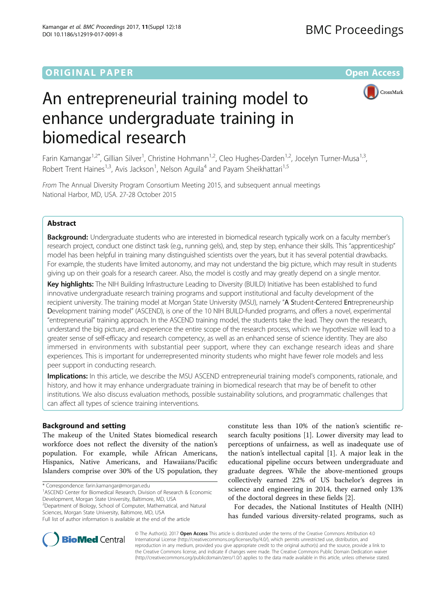## **ORIGINAL PAPER** And the second contract of the second contract of the second contract of the second contract of the second contract of the second contract of the second contract of the second contract of the second contra



# An entrepreneurial training model to enhance undergraduate training in biomedical research

Farin Kamangar<sup>1,2\*</sup>, Gillian Silver<sup>1</sup>, Christine Hohmann<sup>1,2</sup>, Cleo Hughes-Darden<sup>1,2</sup>, Jocelyn Turner-Musa<sup>1,3</sup>, Robert Trent Haines<sup>1,3</sup>, Avis Jackson<sup>1</sup>, Nelson Aguila<sup>4</sup> and Payam Sheikhattari<sup>1,5</sup>

From The Annual Diversity Program Consortium Meeting 2015, and subsequent annual meetings National Harbor, MD, USA. 27-28 October 2015

## Abstract

Background: Undergraduate students who are interested in biomedical research typically work on a faculty member's research project, conduct one distinct task (e.g., running gels), and, step by step, enhance their skills. This "apprenticeship" model has been helpful in training many distinguished scientists over the years, but it has several potential drawbacks. For example, the students have limited autonomy, and may not understand the big picture, which may result in students giving up on their goals for a research career. Also, the model is costly and may greatly depend on a single mentor.

Key highlights: The NIH Building Infrastructure Leading to Diversity (BUILD) Initiative has been established to fund innovative undergraduate research training programs and support institutional and faculty development of the recipient university. The training model at Morgan State University (MSU), namely "A Student-Centered Entrepreneurship Development training model" (ASCEND), is one of the 10 NIH BUILD-funded programs, and offers a novel, experimental "entrepreneurial" training approach. In the ASCEND training model, the students take the lead. They own the research, understand the big picture, and experience the entire scope of the research process, which we hypothesize will lead to a greater sense of self-efficacy and research competency, as well as an enhanced sense of science identity. They are also immersed in environments with substantial peer support, where they can exchange research ideas and share experiences. This is important for underrepresented minority students who might have fewer role models and less peer support in conducting research.

Implications: In this article, we describe the MSU ASCEND entrepreneurial training model's components, rationale, and history, and how it may enhance undergraduate training in biomedical research that may be of benefit to other institutions. We also discuss evaluation methods, possible sustainability solutions, and programmatic challenges that can affect all types of science training interventions.

## Background and setting

The makeup of the United States biomedical research workforce does not reflect the diversity of the nation's population. For example, while African Americans, Hispanics, Native Americans, and Hawaiians/Pacific Islanders comprise over 30% of the US population, they

<sup>1</sup>ASCEND Center for Biomedical Research, Division of Research & Economic Development, Morgan State University, Baltimore, MD, USA

<sup>2</sup> Department of Biology, School of Computer, Mathematical, and Natural Sciences, Morgan State University, Baltimore, MD, USA

constitute less than 10% of the nation's scientific research faculty positions [[1](#page-7-0)]. Lower diversity may lead to perceptions of unfairness, as well as inadequate use of the nation's intellectual capital [[1\]](#page-7-0). A major leak in the educational pipeline occurs between undergraduate and graduate degrees. While the above-mentioned groups collectively earned 22% of US bachelor's degrees in science and engineering in 2014, they earned only 13% of the doctoral degrees in these fields [[2\]](#page-7-0).

For decades, the National Institutes of Health (NIH) has funded various diversity-related programs, such as



© The Author(s). 2017 **Open Access** This article is distributed under the terms of the Creative Commons Attribution 4.0 International License [\(http://creativecommons.org/licenses/by/4.0/](http://creativecommons.org/licenses/by/4.0/)), which permits unrestricted use, distribution, and reproduction in any medium, provided you give appropriate credit to the original author(s) and the source, provide a link to the Creative Commons license, and indicate if changes were made. The Creative Commons Public Domain Dedication waiver [\(http://creativecommons.org/publicdomain/zero/1.0/](http://creativecommons.org/publicdomain/zero/1.0/)) applies to the data made available in this article, unless otherwise stated.

<sup>\*</sup> Correspondence: [farin.kamangar@morgan.edu](mailto:farin.kamangar@morgan.edu) <sup>1</sup>

Full list of author information is available at the end of the article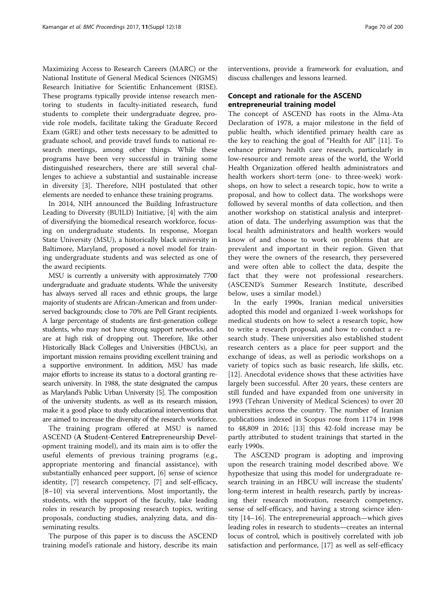Maximizing Access to Research Careers (MARC) or the National Institute of General Medical Sciences (NIGMS) Research Initiative for Scientific Enhancement (RISE). These programs typically provide intense research mentoring to students in faculty-initiated research, fund students to complete their undergraduate degree, provide role models, facilitate taking the Graduate Record Exam (GRE) and other tests necessary to be admitted to graduate school, and provide travel funds to national research meetings, among other things. While these programs have been very successful in training some distinguished researchers, there are still several challenges to achieve a substantial and sustainable increase in diversity [[3\]](#page-7-0). Therefore, NIH postulated that other elements are needed to enhance these training programs.

In 2014, NIH announced the Building Infrastructure Leading to Diversity (BUILD) Initiative, [[4](#page-7-0)] with the aim of diversifying the biomedical research workforce, focusing on undergraduate students. In response, Morgan State University (MSU), a historically black university in Baltimore, Maryland, proposed a novel model for training undergraduate students and was selected as one of the award recipients.

MSU is currently a university with approximately 7700 undergraduate and graduate students. While the university has always served all races and ethnic groups, the large majority of students are African-American and from underserved backgrounds; close to 70% are Pell Grant recipients. A large percentage of students are first-generation college students, who may not have strong support networks, and are at high risk of dropping out. Therefore, like other Historically Black Colleges and Universities (HBCUs), an important mission remains providing excellent training and a supportive environment. In addition, MSU has made major efforts to increase its status to a doctoral granting research university. In 1988, the state designated the campus as Maryland's Public Urban University [[5](#page-7-0)]. The composition of the university students, as well as its research mission, make it a good place to study educational interventions that are aimed to increase the diversity of the research workforce.

The training program offered at MSU is named ASCEND (A Student-Centered Entrepreneurship Development training model), and its main aim is to offer the useful elements of previous training programs (e.g., appropriate mentoring and financial assistance), with substantially enhanced peer support, [[6\]](#page-7-0) sense of science identity, [[7\]](#page-7-0) research competency, [\[7](#page-7-0)] and self-efficacy, [[8](#page-7-0)–[10\]](#page-7-0) via several interventions. Most importantly, the students, with the support of the faculty, take leading roles in research by proposing research topics, writing proposals, conducting studies, analyzing data, and disseminating results.

The purpose of this paper is to discuss the ASCEND training model's rationale and history, describe its main

interventions, provide a framework for evaluation, and discuss challenges and lessons learned.

## Concept and rationale for the ASCEND entrepreneurial training model

The concept of ASCEND has roots in the Alma-Ata Declaration of 1978, a major milestone in the field of public health, which identified primary health care as the key to reaching the goal of "Health for All" [\[11](#page-7-0)]. To enhance primary health care research, particularly in low-resource and remote areas of the world, the World Health Organization offered health administrators and health workers short-term (one- to three-week) workshops, on how to select a research topic, how to write a proposal, and how to collect data. The workshops were followed by several months of data collection, and then another workshop on statistical analysis and interpretation of data. The underlying assumption was that the local health administrators and health workers would know of and choose to work on problems that are prevalent and important in their region. Given that they were the owners of the research, they persevered and were often able to collect the data, despite the fact that they were not professional researchers. (ASCEND's Summer Research Institute, described below, uses a similar model.)

In the early 1990s, Iranian medical universities adopted this model and organized 1-week workshops for medical students on how to select a research topic, how to write a research proposal, and how to conduct a research study. These universities also established student research centers as a place for peer support and the exchange of ideas, as well as periodic workshops on a variety of topics such as basic research, life skills, etc. [[12\]](#page-7-0). Anecdotal evidence shows that these activities have largely been successful. After 20 years, these centers are still funded and have expanded from one university in 1993 (Tehran University of Medical Sciences) to over 20 universities across the country. The number of Iranian publications indexed in Scopus rose from 1174 in 1998 to 48,809 in 2016; [[13](#page-7-0)] this 42-fold increase may be partly attributed to student trainings that started in the early 1990s.

The ASCEND program is adopting and improving upon the research training model described above. We hypothesize that using this model for undergraduate research training in an HBCU will increase the students' long-term interest in health research, partly by increasing their research motivation, research competency, sense of self-efficacy, and having a strong science identity [[14](#page-8-0)–[16](#page-8-0)]. The entrepreneurial approach—which gives leading roles in research to students—creates an internal locus of control, which is positively correlated with job satisfaction and performance, [\[17\]](#page-8-0) as well as self-efficacy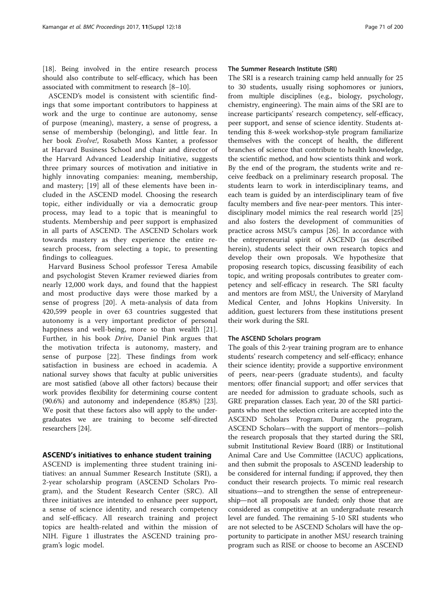[[18\]](#page-8-0). Being involved in the entire research process should also contribute to self-efficacy, which has been associated with commitment to research [[8](#page-7-0)–[10\]](#page-7-0).

ASCEND's model is consistent with scientific findings that some important contributors to happiness at work and the urge to continue are autonomy, sense of purpose (meaning), mastery, a sense of progress, a sense of membership (belonging), and little fear. In her book Evolve!, Rosabeth Moss Kanter, a professor at Harvard Business School and chair and director of the Harvard Advanced Leadership Initiative, suggests three primary sources of motivation and initiative in highly innovating companies: meaning, membership, and mastery; [\[19](#page-8-0)] all of these elements have been included in the ASCEND model. Choosing the research topic, either individually or via a democratic group process, may lead to a topic that is meaningful to students. Membership and peer support is emphasized in all parts of ASCEND. The ASCEND Scholars work towards mastery as they experience the entire research process, from selecting a topic, to presenting findings to colleagues.

Harvard Business School professor Teresa Amabile and psychologist Steven Kramer reviewed diaries from nearly 12,000 work days, and found that the happiest and most productive days were those marked by a sense of progress [[20\]](#page-8-0). A meta-analysis of data from 420,599 people in over 63 countries suggested that autonomy is a very important predictor of personal happiness and well-being, more so than wealth [\[21](#page-8-0)]. Further, in his book Drive, Daniel Pink argues that the motivation trifecta is autonomy, mastery, and sense of purpose [[22](#page-8-0)]. These findings from work satisfaction in business are echoed in academia. A national survey shows that faculty at public universities are most satisfied (above all other factors) because their work provides flexibility for determining course content (90.6%) and autonomy and independence (85.8%) [[23](#page-8-0)]. We posit that these factors also will apply to the undergraduates we are training to become self-directed researchers [\[24\]](#page-8-0).

## ASCEND's initiatives to enhance student training

ASCEND is implementing three student training initiatives: an annual Summer Research Institute (SRI), a 2-year scholarship program (ASCEND Scholars Program), and the Student Research Center (SRC). All three initiatives are intended to enhance peer support, a sense of science identity, and research competency and self-efficacy. All research training and project topics are health-related and within the mission of NIH. Figure [1](#page-3-0) illustrates the ASCEND training program's logic model.

## The Summer Research Institute (SRI)

The SRI is a research training camp held annually for 25 to 30 students, usually rising sophomores or juniors, from multiple disciplines (e.g., biology, psychology, chemistry, engineering). The main aims of the SRI are to increase participants' research competency, self-efficacy, peer support, and sense of science identity. Students attending this 8-week workshop-style program familiarize themselves with the concept of health, the different branches of science that contribute to health knowledge, the scientific method, and how scientists think and work. By the end of the program, the students write and receive feedback on a preliminary research proposal. The students learn to work in interdisciplinary teams, and each team is guided by an interdisciplinary team of five faculty members and five near-peer mentors. This interdisciplinary model mimics the real research world [[25](#page-8-0)] and also fosters the development of communities of practice across MSU's campus [\[26\]](#page-8-0). In accordance with the entrepreneurial spirit of ASCEND (as described herein), students select their own research topics and develop their own proposals. We hypothesize that proposing research topics, discussing feasibility of each topic, and writing proposals contributes to greater competency and self-efficacy in research. The SRI faculty and mentors are from MSU, the University of Maryland Medical Center, and Johns Hopkins University. In addition, guest lecturers from these institutions present their work during the SRI.

## The ASCEND Scholars program

The goals of this 2-year training program are to enhance students' research competency and self-efficacy; enhance their science identity; provide a supportive environment of peers, near-peers (graduate students), and faculty mentors; offer financial support; and offer services that are needed for admission to graduate schools, such as GRE preparation classes. Each year, 20 of the SRI participants who meet the selection criteria are accepted into the ASCEND Scholars Program. During the program, ASCEND Scholars—with the support of mentors—polish the research proposals that they started during the SRI, submit Institutional Review Board (IRB) or Institutional Animal Care and Use Committee (IACUC) applications, and then submit the proposals to ASCEND leadership to be considered for internal funding; if approved, they then conduct their research projects. To mimic real research situations—and to strengthen the sense of entrepreneurship—not all proposals are funded; only those that are considered as competitive at an undergraduate research level are funded. The remaining 5-10 SRI students who are not selected to be ASCEND Scholars will have the opportunity to participate in another MSU research training program such as RISE or choose to become an ASCEND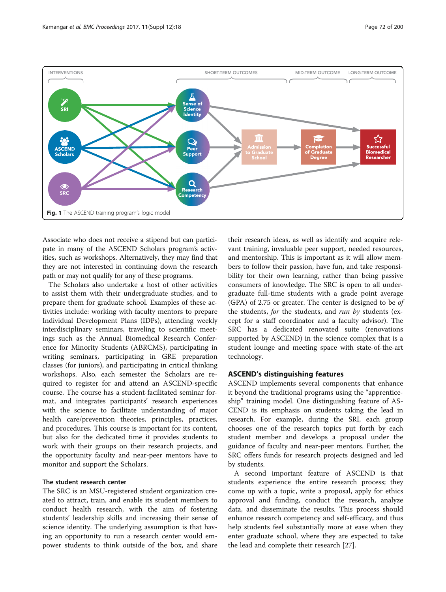<span id="page-3-0"></span>

Associate who does not receive a stipend but can participate in many of the ASCEND Scholars program's activities, such as workshops. Alternatively, they may find that they are not interested in continuing down the research path or may not qualify for any of these programs.

The Scholars also undertake a host of other activities to assist them with their undergraduate studies, and to prepare them for graduate school. Examples of these activities include: working with faculty mentors to prepare Individual Development Plans (IDPs), attending weekly interdisciplinary seminars, traveling to scientific meetings such as the Annual Biomedical Research Conference for Minority Students (ABRCMS), participating in writing seminars, participating in GRE preparation classes (for juniors), and participating in critical thinking workshops. Also, each semester the Scholars are required to register for and attend an ASCEND-specific course. The course has a student-facilitated seminar format, and integrates participants' research experiences with the science to facilitate understanding of major health care/prevention theories, principles, practices, and procedures. This course is important for its content, but also for the dedicated time it provides students to work with their groups on their research projects, and the opportunity faculty and near-peer mentors have to monitor and support the Scholars.

## The student research center

The SRC is an MSU-registered student organization created to attract, train, and enable its student members to conduct health research, with the aim of fostering students' leadership skills and increasing their sense of science identity. The underlying assumption is that having an opportunity to run a research center would empower students to think outside of the box, and share

their research ideas, as well as identify and acquire relevant training, invaluable peer support, needed resources, and mentorship. This is important as it will allow members to follow their passion, have fun, and take responsibility for their own learning, rather than being passive consumers of knowledge. The SRC is open to all undergraduate full-time students with a grade point average (GPA) of 2.75 or greater. The center is designed to be of the students, for the students, and run by students (except for a staff coordinator and a faculty advisor). The SRC has a dedicated renovated suite (renovations supported by ASCEND) in the science complex that is a student lounge and meeting space with state-of-the-art technology.

## ASCEND's distinguishing features

ASCEND implements several components that enhance it beyond the traditional programs using the "apprenticeship" training model. One distinguishing feature of AS-CEND is its emphasis on students taking the lead in research. For example, during the SRI, each group chooses one of the research topics put forth by each student member and develops a proposal under the guidance of faculty and near-peer mentors. Further, the SRC offers funds for research projects designed and led by students.

A second important feature of ASCEND is that students experience the entire research process; they come up with a topic, write a proposal, apply for ethics approval and funding, conduct the research, analyze data, and disseminate the results. This process should enhance research competency and self-efficacy, and thus help students feel substantially more at ease when they enter graduate school, where they are expected to take the lead and complete their research [[27](#page-8-0)].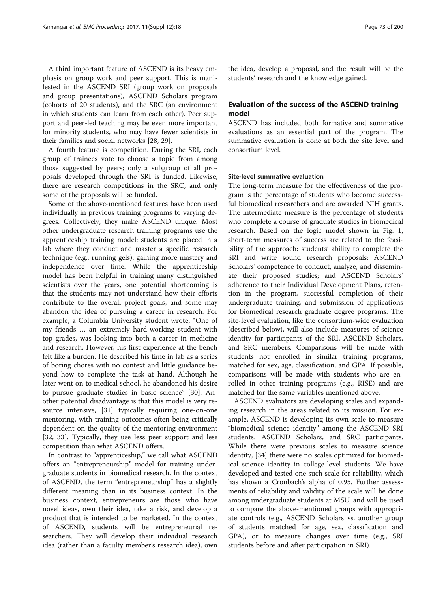A third important feature of ASCEND is its heavy emphasis on group work and peer support. This is manifested in the ASCEND SRI (group work on proposals and group presentations), ASCEND Scholars program (cohorts of 20 students), and the SRC (an environment in which students can learn from each other). Peer support and peer-led teaching may be even more important for minority students, who may have fewer scientists in their families and social networks [\[28](#page-8-0), [29\]](#page-8-0).

A fourth feature is competition. During the SRI, each group of trainees vote to choose a topic from among those suggested by peers; only a subgroup of all proposals developed through the SRI is funded. Likewise, there are research competitions in the SRC, and only some of the proposals will be funded.

Some of the above-mentioned features have been used individually in previous training programs to varying degrees. Collectively, they make ASCEND unique. Most other undergraduate research training programs use the apprenticeship training model: students are placed in a lab where they conduct and master a specific research technique (e.g., running gels), gaining more mastery and independence over time. While the apprenticeship model has been helpful in training many distinguished scientists over the years, one potential shortcoming is that the students may not understand how their efforts contribute to the overall project goals, and some may abandon the idea of pursuing a career in research. For example, a Columbia University student wrote, "One of my friends … an extremely hard-working student with top grades, was looking into both a career in medicine and research. However, his first experience at the bench felt like a burden. He described his time in lab as a series of boring chores with no context and little guidance beyond how to complete the task at hand. Although he later went on to medical school, he abandoned his desire to pursue graduate studies in basic science" [[30](#page-8-0)]. Another potential disadvantage is that this model is very resource intensive, [[31](#page-8-0)] typically requiring one-on-one mentoring, with training outcomes often being critically dependent on the quality of the mentoring environment [[32, 33](#page-8-0)]. Typically, they use less peer support and less competition than what ASCEND offers.

In contrast to "apprenticeship," we call what ASCEND offers an "entrepreneurship" model for training undergraduate students in biomedical research. In the context of ASCEND, the term "entrepreneurship" has a slightly different meaning than in its business context. In the business context, entrepreneurs are those who have novel ideas, own their idea, take a risk, and develop a product that is intended to be marketed. In the context of ASCEND, students will be entrepreneurial researchers. They will develop their individual research idea (rather than a faculty member's research idea), own the idea, develop a proposal, and the result will be the students' research and the knowledge gained.

## Evaluation of the success of the ASCEND training model

ASCEND has included both formative and summative evaluations as an essential part of the program. The summative evaluation is done at both the site level and consortium level.

#### Site-level summative evaluation

The long-term measure for the effectiveness of the program is the percentage of students who become successful biomedical researchers and are awarded NIH grants. The intermediate measure is the percentage of students who complete a course of graduate studies in biomedical research. Based on the logic model shown in Fig. [1](#page-3-0), short-term measures of success are related to the feasibility of the approach: students' ability to complete the SRI and write sound research proposals; ASCEND Scholars' competence to conduct, analyze, and disseminate their proposed studies; and ASCEND Scholars' adherence to their Individual Development Plans, retention in the program, successful completion of their undergraduate training, and submission of applications for biomedical research graduate degree programs. The site-level evaluation, like the consortium-wide evaluation (described below), will also include measures of science identity for participants of the SRI, ASCEND Scholars, and SRC members. Comparisons will be made with students not enrolled in similar training programs, matched for sex, age, classification, and GPA. If possible, comparisons will be made with students who are enrolled in other training programs (e.g., RISE) and are matched for the same variables mentioned above.

ASCEND evaluators are developing scales and expanding research in the areas related to its mission. For example, ASCEND is developing its own scale to measure "biomedical science identity" among the ASCEND SRI students, ASCEND Scholars, and SRC participants. While there were previous scales to measure science identity, [[34\]](#page-8-0) there were no scales optimized for biomedical science identity in college-level students. We have developed and tested one such scale for reliability, which has shown a Cronbach's alpha of 0.95. Further assessments of reliability and validity of the scale will be done among undergraduate students at MSU, and will be used to compare the above-mentioned groups with appropriate controls (e.g., ASCEND Scholars vs. another group of students matched for age, sex, classification and GPA), or to measure changes over time (e.g., SRI students before and after participation in SRI).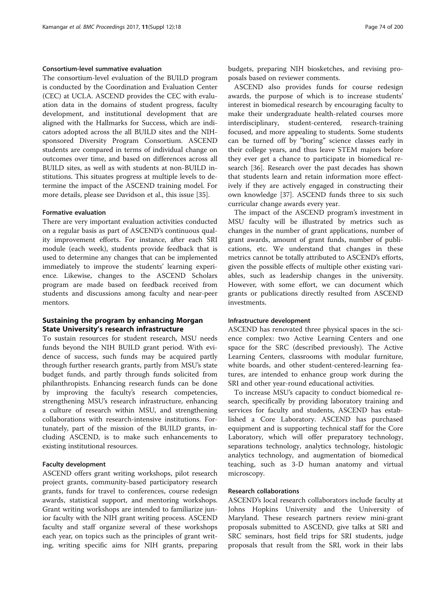## Consortium-level summative evaluation

The consortium-level evaluation of the BUILD program is conducted by the Coordination and Evaluation Center (CEC) at UCLA. ASCEND provides the CEC with evaluation data in the domains of student progress, faculty development, and institutional development that are aligned with the Hallmarks for Success, which are indicators adopted across the all BUILD sites and the NIHsponsored Diversity Program Consortium. ASCEND students are compared in terms of individual change on outcomes over time, and based on differences across all BUILD sites, as well as with students at non-BUILD institutions. This situates progress at multiple levels to determine the impact of the ASCEND training model. For more details, please see Davidson et al., this issue [\[35\]](#page-8-0).

#### Formative evaluation

There are very important evaluation activities conducted on a regular basis as part of ASCEND's continuous quality improvement efforts. For instance, after each SRI module (each week), students provide feedback that is used to determine any changes that can be implemented immediately to improve the students' learning experience. Likewise, changes to the ASCEND Scholars program are made based on feedback received from students and discussions among faculty and near-peer mentors.

## Sustaining the program by enhancing Morgan State University's research infrastructure

To sustain resources for student research, MSU needs funds beyond the NIH BUILD grant period. With evidence of success, such funds may be acquired partly through further research grants, partly from MSU's state budget funds, and partly through funds solicited from philanthropists. Enhancing research funds can be done by improving the faculty's research competencies, strengthening MSU's research infrastructure, enhancing a culture of research within MSU, and strengthening collaborations with research-intensive institutions. Fortunately, part of the mission of the BUILD grants, including ASCEND, is to make such enhancements to existing institutional resources.

#### Faculty development

ASCEND offers grant writing workshops, pilot research project grants, community-based participatory research grants, funds for travel to conferences, course redesign awards, statistical support, and mentoring workshops. Grant writing workshops are intended to familiarize junior faculty with the NIH grant writing process. ASCEND faculty and staff organize several of these workshops each year, on topics such as the principles of grant writing, writing specific aims for NIH grants, preparing budgets, preparing NIH biosketches, and revising proposals based on reviewer comments.

ASCEND also provides funds for course redesign awards, the purpose of which is to increase students' interest in biomedical research by encouraging faculty to make their undergraduate health-related courses more interdisciplinary, student-centered, research-training focused, and more appealing to students. Some students can be turned off by "boring" science classes early in their college years, and thus leave STEM majors before they ever get a chance to participate in biomedical research [\[36\]](#page-8-0). Research over the past decades has shown that students learn and retain information more effectively if they are actively engaged in constructing their own knowledge [\[37](#page-8-0)]. ASCEND funds three to six such curricular change awards every year.

The impact of the ASCEND program's investment in MSU faculty will be illustrated by metrics such as changes in the number of grant applications, number of grant awards, amount of grant funds, number of publications, etc. We understand that changes in these metrics cannot be totally attributed to ASCEND's efforts, given the possible effects of multiple other existing variables, such as leadership changes in the university. However, with some effort, we can document which grants or publications directly resulted from ASCEND investments.

#### Infrastructure development

ASCEND has renovated three physical spaces in the science complex: two Active Learning Centers and one space for the SRC (described previously). The Active Learning Centers, classrooms with modular furniture, white boards, and other student-centered-learning features, are intended to enhance group work during the SRI and other year-round educational activities.

To increase MSU's capacity to conduct biomedical research, specifically by providing laboratory training and services for faculty and students, ASCEND has established a Core Laboratory. ASCEND has purchased equipment and is supporting technical staff for the Core Laboratory, which will offer preparatory technology, separations technology, analytics technology, histologic analytics technology, and augmentation of biomedical teaching, such as 3-D human anatomy and virtual microscopy.

#### Research collaborations

ASCEND's local research collaborators include faculty at Johns Hopkins University and the University of Maryland. These research partners review mini-grant proposals submitted to ASCEND, give talks at SRI and SRC seminars, host field trips for SRI students, judge proposals that result from the SRI, work in their labs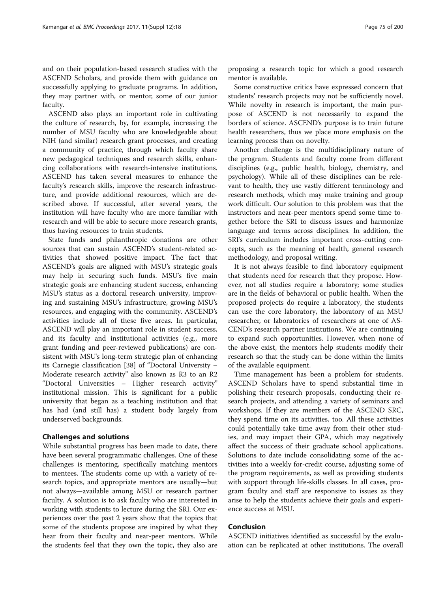and on their population-based research studies with the ASCEND Scholars, and provide them with guidance on successfully applying to graduate programs. In addition, they may partner with, or mentor, some of our junior faculty.

ASCEND also plays an important role in cultivating the culture of research, by, for example, increasing the number of MSU faculty who are knowledgeable about NIH (and similar) research grant processes, and creating a community of practice, through which faculty share new pedagogical techniques and research skills, enhancing collaborations with research-intensive institutions. ASCEND has taken several measures to enhance the faculty's research skills, improve the research infrastructure, and provide additional resources, which are described above. If successful, after several years, the institution will have faculty who are more familiar with research and will be able to secure more research grants, thus having resources to train students.

State funds and philanthropic donations are other sources that can sustain ASCEND's student-related activities that showed positive impact. The fact that ASCEND's goals are aligned with MSU's strategic goals may help in securing such funds. MSU's five main strategic goals are enhancing student success, enhancing MSU's status as a doctoral research university, improving and sustaining MSU's infrastructure, growing MSU's resources, and engaging with the community. ASCEND's activities include all of these five areas. In particular, ASCEND will play an important role in student success, and its faculty and institutional activities (e.g., more grant funding and peer-reviewed publications) are consistent with MSU's long-term strategic plan of enhancing its Carnegie classification [[38](#page-8-0)] of "Doctoral University – Moderate research activity" also known as R3 to an R2 "Doctoral Universities – Higher research activity" institutional mission. This is significant for a public university that began as a teaching institution and that has had (and still has) a student body largely from underserved backgrounds.

## Challenges and solutions

While substantial progress has been made to date, there have been several programmatic challenges. One of these challenges is mentoring, specifically matching mentors to mentees. The students come up with a variety of research topics, and appropriate mentors are usually—but not always—available among MSU or research partner faculty. A solution is to ask faculty who are interested in working with students to lecture during the SRI. Our experiences over the past 2 years show that the topics that some of the students propose are inspired by what they hear from their faculty and near-peer mentors. While the students feel that they own the topic, they also are

proposing a research topic for which a good research mentor is available.

Some constructive critics have expressed concern that students' research projects may not be sufficiently novel. While novelty in research is important, the main purpose of ASCEND is not necessarily to expand the borders of science. ASCEND's purpose is to train future health researchers, thus we place more emphasis on the learning process than on novelty.

Another challenge is the multidisciplinary nature of the program. Students and faculty come from different disciplines (e.g., public health, biology, chemistry, and psychology). While all of these disciplines can be relevant to health, they use vastly different terminology and research methods, which may make training and group work difficult. Our solution to this problem was that the instructors and near-peer mentors spend some time together before the SRI to discuss issues and harmonize language and terms across disciplines. In addition, the SRI's curriculum includes important cross-cutting concepts, such as the meaning of health, general research methodology, and proposal writing.

It is not always feasible to find laboratory equipment that students need for research that they propose. However, not all studies require a laboratory; some studies are in the fields of behavioral or public health. When the proposed projects do require a laboratory, the students can use the core laboratory, the laboratory of an MSU researcher, or laboratories of researchers at one of AS-CEND's research partner institutions. We are continuing to expand such opportunities. However, when none of the above exist, the mentors help students modify their research so that the study can be done within the limits of the available equipment.

Time management has been a problem for students. ASCEND Scholars have to spend substantial time in polishing their research proposals, conducting their research projects, and attending a variety of seminars and workshops. If they are members of the ASCEND SRC, they spend time on its activities, too. All these activities could potentially take time away from their other studies, and may impact their GPA, which may negatively affect the success of their graduate school applications. Solutions to date include consolidating some of the activities into a weekly for-credit course, adjusting some of the program requirements, as well as providing students with support through life-skills classes. In all cases, program faculty and staff are responsive to issues as they arise to help the students achieve their goals and experience success at MSU.

## Conclusion

ASCEND initiatives identified as successful by the evaluation can be replicated at other institutions. The overall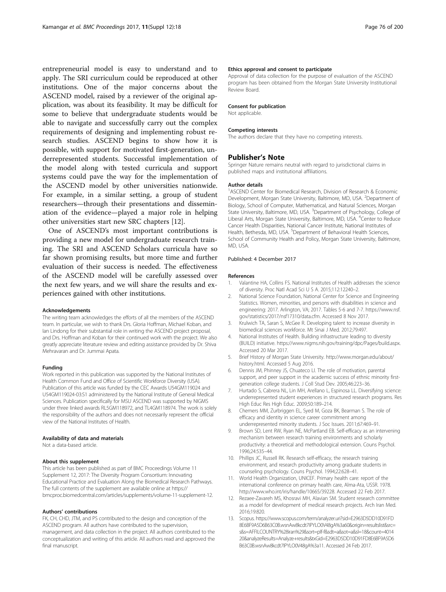<span id="page-7-0"></span>entrepreneurial model is easy to understand and to apply. The SRI curriculum could be reproduced at other institutions. One of the major concerns about the ASCEND model, raised by a reviewer of the original application, was about its feasibility. It may be difficult for some to believe that undergraduate students would be able to navigate and successfully carry out the complex requirements of designing and implementing robust research studies. ASCEND begins to show how it is possible, with support for motivated first-generation, underrepresented students. Successful implementation of the model along with tested curricula and support systems could pave the way for the implementation of the ASCEND model by other universities nationwide. For example, in a similar setting, a group of student researchers—through their presentations and dissemination of the evidence—played a major role in helping other universities start new SRC chapters [12].

One of ASCEND's most important contributions is providing a new model for undergraduate research training. The SRI and ASCEND Scholars curricula have so far shown promising results, but more time and further evaluation of their success is needed. The effectiveness of the ASCEND model will be carefully assessed over the next few years, and we will share the results and experiences gained with other institutions.

#### Acknowledgements

The writing team acknowledges the efforts of all the members of the ASCEND team. In particular, we wish to thank Drs. Gloria Hoffman, Michael Koban, and Ian Lindong for their substantial role in writing the ASCEND project proposal, and Drs. Hoffman and Koban for their continued work with the project. We also greatly appreciate literature review and editing assistance provided by Dr. Shiva Mehravaran and Dr. Jummai Apata.

#### Funding

Work reported in this publication was supported by the National Institutes of Health Common Fund and Office of Scientific Workforce Diversity (USA). Publication of this article was funded by the CEC Awards U54GM119024 and U54GM119024-03:S1 administered by the National Institute of General Medical Sciences. Publication specifically for MSU ASCEND was supported by NIGMS under three linked awards RL5GM118972, and TL4GM118974. The work is solely the responsibility of the authors and does not necessarily represent the official view of the National Institutes of Health.

#### Availability of data and materials

Not a data-based article.

#### About this supplement

This article has been published as part of BMC Proceedings Volume 11 Supplement 12, 2017: The Diversity Program Consortium: Innovating Educational Practice and Evaluation Along the Biomedical Research Pathways. The full contents of the supplement are available online at [https://](https://bmcproc.biomedcentral.com/articles/supplements/volume-11-supplement-12) [bmcproc.biomedcentral.com/articles/supplements/volume-11-supplement-12](https://bmcproc.biomedcentral.com/articles/supplements/volume-11-supplement-12).

#### Authors' contributions

FK, CH, CHD, JTM, and PS contributed to the design and conception of the ASCEND program. All authors have contributed to the supervision, management, and data collection in the project. All authors contributed to the conceptualization and writing of this article. All authors read and approved the final manuscript.

#### Ethics approval and consent to participate

Approval of data collection for the purpose of evaluation of the ASCEND program has been obtained from the Morgan State University Institutional Review Board.

#### Consent for publication

Not applicable.

#### Competing interests

The authors declare that they have no competing interests.

#### Publisher's Note

Springer Nature remains neutral with regard to jurisdictional claims in published maps and institutional affiliations.

#### Author details

<sup>1</sup>ASCEND Center for Biomedical Research, Division of Research & Economic Development, Morgan State University, Baltimore, MD, USA. <sup>2</sup>Department of Biology, School of Computer, Mathematical, and Natural Sciences, Morgan State University, Baltimore, MD, USA. <sup>3</sup>Department of Psychology, College of Liberal Arts, Morgan State University, Baltimore, MD, USA. <sup>4</sup>Center to Reduce Cancer Health Disparities, National Cancer Institute, National Institutes of Health, Bethesda, MD, USA. <sup>5</sup>Department of Behavioral Health Sciences, School of Community Health and Policy, Morgan State University, Baltimore, MD, USA.

#### Published: 4 December 2017

#### References

- 1. Valantine HA, Collins FS. National Institutes of Health addresses the science of diversity. Proc Natl Acad Sci U S A. 2015;112:12240–2.
- 2. National Science Foundation, National Center for Science and Engineering Statistics. Women, minorities, and persons with disabilities in science and engineering: 2017. Arlington, VA; 2017. Tables 5-6 and 7-7. [https://www.nsf.](https://www.nsf.gov/statistics/2017/nsf17310/data.cfm) [gov/statistics/2017/nsf17310/data.cfm](https://www.nsf.gov/statistics/2017/nsf17310/data.cfm). Accessed 8 Nov 2017.
- 3. Krulwich TA, Saran S, McGee R. Developing talent to increase diversity in biomedical sciences workforce. Mt Sinai J Med. 2012;79:497.
- 4. National Institutes of Health. Building infrastructure leading to diversity (BUILD) initiative.<https://www.nigms.nih.gov/training/dpc/Pages/build.aspx>. Accessed 20 Mar 2017.
- 5. Brief History of Morgan State University. [http://www.morgan.edu/about/](http://www.morgan.edu/about/history.html) [history.html](http://www.morgan.edu/about/history.html). Accessed 5 Aug 2016.
- 6. Dennis JM, Phinney JS, Chuateco LI. The role of motivation, parental support, and peer support in the academic success of ethnic minority firstgeneration college students. J Coll Stud Dev. 2005;46:223–36.
- 7. Hurtado S, Cabrera NL, Lin MH, Arellano L, Espinosa LL. Diversifying science: underrepresented student experiences in structured research programs. Res High Educ Res High Educ. 2009;50:189–214.
- 8. Chemers MM, Zurbriggen EL, Syed M, Goza BK, Bearman S. The role of efficacy and identity in science career commitment among underrepresented minority students. J Soc Issues. 2011;67:469–91.
- 9. Brown SD, Lent RW, Ryan NE, McPartland EB. Self-efficacy as an intervening mechanism between research training environments and scholarly productivity: a theoretical and methodological extension. Couns Psychol. 1996;24:535–44.
- 10. Phillips JC, Russell RK. Research self-efficacy, the research training environment, and research productivity among graduate students in counseling psychology. Couns Psychol. 1994;22:628–41.
- 11. World Health Organization, UNICEF. Primary health care: report of the international conference on primary health care, Alma-Ata, USSR. 1978. [http://www.who.int/iris/handle/10665/39228.](http://www.who.int/iris/handle/10665/39228) Accessed 22 Feb 2017.
- 12. Rezaee-Zavareh MS, Khosravi MH, Alavian SM. Student research committee as a model for development of medical research projects. Arch Iran Med. 2016;19:820.
- 13. Scopus. [https://www.scopus.com/term/analyzer.uri?sid=E2963D5DD10D91FD](https://www.scopus.com/term/analyzer.uri?sid=E2963D5DD10D91FD8E6BF9A5D6B63C0B.wsnAw8kcdt7IPYLO0V48gA%3a60&origin=resultslist&src=s&s=AFFILCOUNTRY%28iran%29&sort=plf-f&sdt=a&sot=a&sl=18&count=401420&analyzeResults=Analyze+results&txGid=E2963D5DD10D91FD8E6BF9A5D6B63C0B.wsnAw8kcdt7IPYLO0V48gA%3a11) [8E6BF9A5D6B63C0B.wsnAw8kcdt7IPYLO0V48gA%3a60&origin=resultslist&src=](https://www.scopus.com/term/analyzer.uri?sid=E2963D5DD10D91FD8E6BF9A5D6B63C0B.wsnAw8kcdt7IPYLO0V48gA%3a60&origin=resultslist&src=s&s=AFFILCOUNTRY%28iran%29&sort=plf-f&sdt=a&sot=a&sl=18&count=401420&analyzeResults=Analyze+results&txGid=E2963D5DD10D91FD8E6BF9A5D6B63C0B.wsnAw8kcdt7IPYLO0V48gA%3a11) [s&s=AFFILCOUNTRY%28iran%29&sort=plf-f&sdt=a&sot=a&sl=18&count=4014](https://www.scopus.com/term/analyzer.uri?sid=E2963D5DD10D91FD8E6BF9A5D6B63C0B.wsnAw8kcdt7IPYLO0V48gA%3a60&origin=resultslist&src=s&s=AFFILCOUNTRY%28iran%29&sort=plf-f&sdt=a&sot=a&sl=18&count=401420&analyzeResults=Analyze+results&txGid=E2963D5DD10D91FD8E6BF9A5D6B63C0B.wsnAw8kcdt7IPYLO0V48gA%3a11) [20&analyzeResults=Analyze+results&txGid=E2963D5DD10D91FD8E6BF9A5D6](https://www.scopus.com/term/analyzer.uri?sid=E2963D5DD10D91FD8E6BF9A5D6B63C0B.wsnAw8kcdt7IPYLO0V48gA%3a60&origin=resultslist&src=s&s=AFFILCOUNTRY%28iran%29&sort=plf-f&sdt=a&sot=a&sl=18&count=401420&analyzeResults=Analyze+results&txGid=E2963D5DD10D91FD8E6BF9A5D6B63C0B.wsnAw8kcdt7IPYLO0V48gA%3a11) [B63C0B.wsnAw8kcdt7IPYLO0V48gA%3a11.](https://www.scopus.com/term/analyzer.uri?sid=E2963D5DD10D91FD8E6BF9A5D6B63C0B.wsnAw8kcdt7IPYLO0V48gA%3a60&origin=resultslist&src=s&s=AFFILCOUNTRY%28iran%29&sort=plf-f&sdt=a&sot=a&sl=18&count=401420&analyzeResults=Analyze+results&txGid=E2963D5DD10D91FD8E6BF9A5D6B63C0B.wsnAw8kcdt7IPYLO0V48gA%3a11) Accessed 24 Feb 2017.